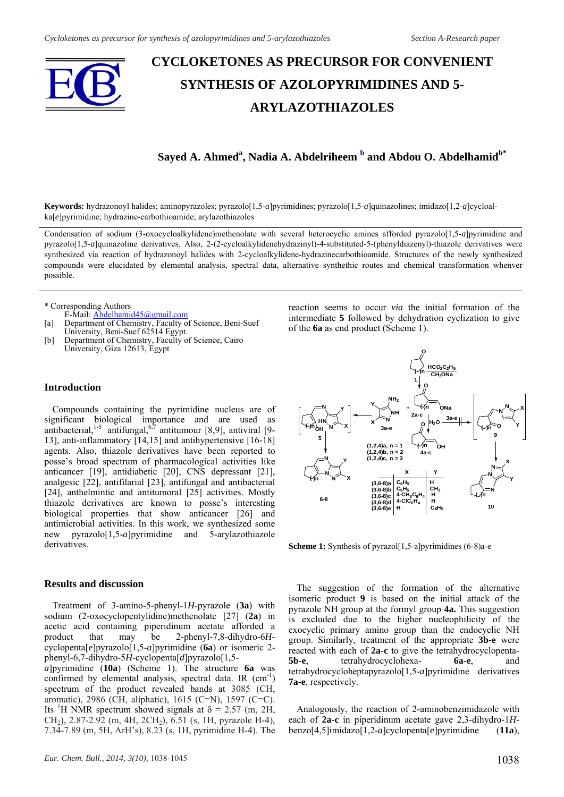

# **CYCLOKETONES AS PRECURSOR FOR CONVENIENT SYNTHESIS OF AZOLOPYRIMIDINES AND 5- ARYLAZOTHIAZOLES**

## ${\bf S}$ ayed A. Ahmed $\rm^a,$  Nadia A. Abdelriheem  $\rm^b$  and Abdou O. Abdelhamid $\rm^b^*$

**Keywords:** hydrazonoyl halides; aminopyrazoles; pyrazolo[1,5-*a*]pyrimidines; pyrazolo[1,5-*a*]quinazolines; imidazo[1,2-*a*]cycloalka[*e*]pyrimidine; hydrazine-carbothioamide; arylazothiazoles

Condensation of sodium (3-oxocycloalkylidene)methenolate with several heterocyclic amines afforded pyrazolo[1,5-*a*]pyrimidine and pyrazolo[1,5-*a*]quinazoline derivatives. Also, 2-(2-cycloalkylidenehydrazinyl)-4-substituted-5-(phenyldiazenyl)-thiazole derivatives were synthesized via reaction of hydrazonoyl halides with 2-cycloalkylidene-hydrazinecarbothioamide. Structures of the newly synthesized compounds were elucidated by elemental analysis, spectral data, alternative synthethic routes and chemical transformation whenver possible.

\* Corresponding Authors

- E-Mail: Abdelhamid45@gmail.com [a] Department of Chemistry, Faculty of Science, Beni-Suef University, Beni-Suef 62514 Egypt.
- [b] Department of Chemistry, Faculty of Science, Cairo University, Giza 12613, Egypt

#### **Introduction**

Compounds containing the pyrimidine nucleus are of significant biological importance and are used as antibacterial,  $1-5$  antifungal,  $6\frac{7}{7}$  antitumour [8,9], antiviral [9-13], anti-inflammatory [14,15] and antihypertensive [16-18] agents. Also, thiazole derivatives have been reported to posse's broad spectrum of pharmacological activities like anticancer [19], antidiabetic [20], CNS depressant [21], analgesic [22], antifilarial [23], antifungal and antibacterial [24], anthelmintic and antitumoral [25] activities. Mostly thiazole derivatives are known to posse's interesting biological properties that show anticancer [26] and antimicrobial activities. In this work, we synthesized some new pyrazolo[1,5-*a*]pyrimidine and 5-arylazothiazole derivatives.

#### **Results and discussion**

Treatment of 3-amino-5-phenyl-1*H*-pyrazole (**3a**) with sodium (2-oxocyclopentylidine)methenolate [27] (**2a**) in acetic acid containing piperidinum acetate afforded a product that may be 2-phenyl-7,8-dihydro-6*H*cyclopenta[*e*]pyrazolo[1,5-*a*]pyrimidine (**6a**) or isomeric 2 phenyl-6,7-dihydro-5*H*-cyclopenta[*d*]pyrazolo[1,5 *a*]pyrimidine (**10a**) (Scheme 1). The structure **6a** was confirmed by elemental analysis, spectral data. IR  $(cm<sup>-1</sup>)$ spectrum of the product revealed bands at 3085 (CH, aromatic), 2986 (CH, aliphatic), 1615 (C=N), 1597 (C=C). Its <sup>1</sup>H NMR spectrum showed signals at  $\delta$  = 2.57 (m, 2H,  $CH<sub>2</sub>$ ), 2.87-2.92 (m, 4H, 2CH<sub>2</sub>), 6.51 (s, 1H, pyrazole H-4), 7.34-7.89 (m, 5H, ArH's), 8.23 (s, 1H, pyrimidine H-4). The

reaction seems to occur *via* the initial formation of the intermediate **5** followed by dehydration cyclization to give of the **6a** as end product (Scheme 1).



**Scheme 1:** Synthesis of pyrazol<sup>[1,5-a]pyrimidines (6-8)a-e</sup>

The suggestion of the formation of the alternative isomeric product **9** is based on the initial attack of the pyrazole NH group at the formyl group **4a.** This suggestion is excluded due to the higher nucleophilicity of the exocyclic primary amino group than the endocyclic NH group. Similarly, treatment of the appropriate **3b-e** were reacted with each of **2a-c** to give the tetrahydrocyclopenta-**5b-e**, tetrahydrocyclohexa- **6a-e**, and tetrahydrocycloheptapyrazolo[1,5-*a*]pyrimidine derivatives **7a-e**, respectively.

Analogously, the reaction of 2-aminobenzimidazole with each of **2a-c** in piperidinum acetate gave 2,3-dihydro-1*H*benzo[4,5]imidazo[1,2-*a*]cyclopenta[*e*]pyrimidine (**11a**),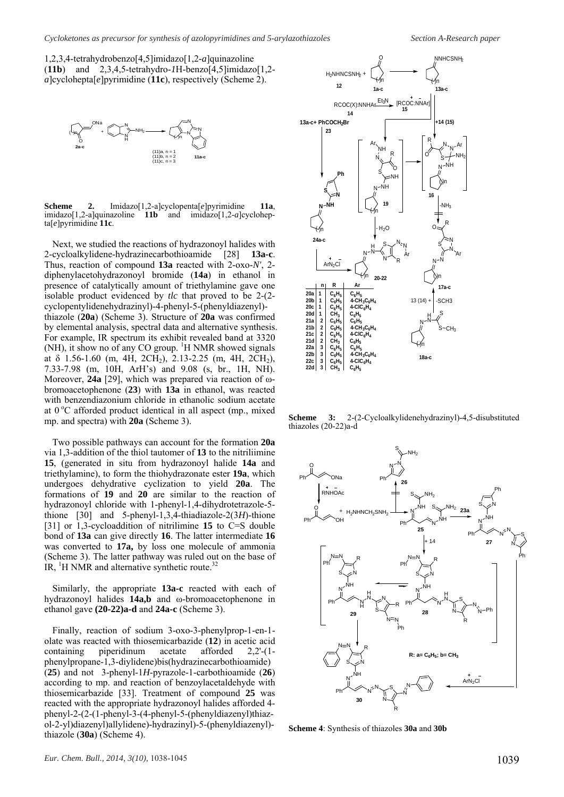1,2,3,4-tetrahydrobenzo[4,5]imidazo[1,2*-a*]quinazoline (**11b**) and 2,3,4,5-tetrahydro-*1*H-benzo[4,5]imidazo[1,2 *a*]cyclohepta[*e*]pyrimidine (**11c**), respectively (Scheme 2).



**Scheme 2.** Imidazo[1,2-a]cyclopenta[*e*]pyrimidine **11a**, imidazo[1,2-a]quinazoline 11b and imidazo[1,2-a]cyclohepta[*e*]pyrimidine **11c**.

Next, we studied the reactions of hydrazonoyl halides with 2-cycloalkylidene-hydrazinecarbothioamide [28] **13a-c**. Thus, reaction of compound **13a** reacted with 2-oxo-*N'*, 2 diphenylacetohydrazonoyl bromide (**14a**) in ethanol in presence of catalytically amount of triethylamine gave one isolable product evidenced by *tlc* that proved to be 2-(2 cyclopentylidenehydrazinyl)-4-phenyl-5-(phenyldiazenyl) thiazole (**20a**) (Scheme 3). Structure of **20a** was confirmed by elemental analysis, spectral data and alternative synthesis. For example, IR spectrum its exhibit revealed band at 3320  $(NH)$ , it show no of any CO group. <sup>1</sup>H NMR showed signals at  $\delta$  1.56-1.60 (m, 4H, 2CH<sub>2</sub>), 2.13-2.25 (m, 4H, 2CH<sub>2</sub>), 7.33-7.98 (m, 10H, ArH's) and 9.08 (s, br., 1H, NH). Moreover, **24a** [29], which was prepared via reaction of ωbromoacetophenone (**23**) with **13a** in ethanol, was reacted with benzendiazonium chloride in ethanolic sodium acetate at  $0^{\circ}$ C afforded product identical in all aspect (mp., mixed mp. and spectra) with **20a** (Scheme 3).

Two possible pathways can account for the formation **20a**  via 1,3-addition of the thiol tautomer of **13** to the nitriliimine **15**, (generated in situ from hydrazonoyl halide **14a** and triethylamine), to form the thiohydrazonate ester **19a**, which undergoes dehydrative cyclization to yield **20a**. The formations of **19** and **20** are similar to the reaction of hydrazonoyl chloride with 1-phenyl-1,4-dihydrotetrazole-5 thione [30] and 5-phenyl-1,3,4-thiadiazole-2(3*H*)-thione [31] or 1,3-cycloaddition of nitrilimine **15** to C=S double bond of **13a** can give directly **16**. The latter intermediate **16**  was converted to **17a,** by loss one molecule of ammonia (Scheme 3). The latter pathway was ruled out on the base of IR,  ${}^{1}$ H NMR and alternative synthetic route.<sup>32</sup>

Similarly, the appropriate **13a-c** reacted with each of hydrazonoyl halides **14a,b** and ω-bromoacetophenone in ethanol gave **(20-22)a-d** and **24a-c** (Scheme 3).

Finally, reaction of sodium 3-oxo-3-phenylprop-1-en-1 olate was reacted with thiosemicarbazide (**12**) in acetic acid containing piperidinum acetate afforded 2,2'-(1 phenylpropane-1,3-diylidene)bis(hydrazinecarbothioamide) (**25**) and not 3-phenyl-1*H*-pyrazole-1-carbothioamide (**26**) according to mp. and reaction of benzoylacetaldehyde with thiosemicarbazide [33]. Treatment of compound **25** was reacted with the appropriate hydrazonoyl halides afforded 4 phenyl-2-(2-(1-phenyl-3-(4-phenyl-5-(phenyldiazenyl)thiazol-2-yl)diazenyl)allylidene)-hydrazinyl)-5-(phenyldiazenyl) thiazole (**30a**) (Scheme 4).



**Scheme 3:** 2-(2-Cycloalkylidenehydrazinyl)-4,5-disubstituted thiazoles (20-22)a-d



**Scheme 4**: Synthesis of thiazoles **30a** and **30b**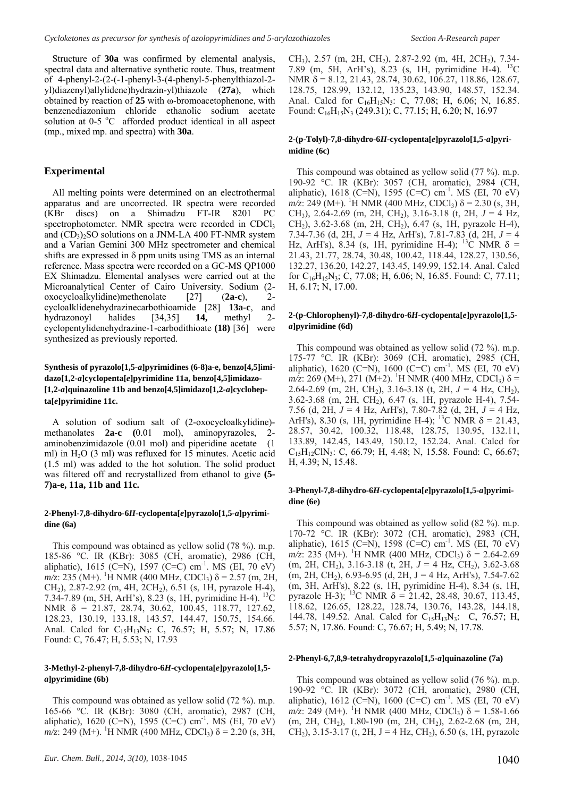Structure of **30a** was confirmed by elemental analysis, spectral data and alternative synthetic route. Thus, treatment of 4-phenyl-2-(2-(-1-phenyl-3-(4-phenyl-5-phenylthiazol-2 yl)diazenyl)allylidene)hydrazin-yl)thiazole (**27a**), which obtained by reaction of **25** with ω-bromoacetophenone, with benzenediazonium chloride ethanolic sodium acetate solution at  $0-5$  °C afforded product identical in all aspect (mp., mixed mp. and spectra) with **30a**.

#### **Experimental**

All melting points were determined on an electrothermal apparatus and are uncorrected. IR spectra were recorded (KBr discs) on a Shimadzu FT-IR 8201 PC spectrophotometer. NMR spectra were recorded in CDCl<sub>3</sub> and  $(CD_3)$ <sub>2</sub>SO solutions on a JNM-LA 400 FT-NMR system and a Varian Gemini 300 MHz spectrometer and chemical shifts are expressed in  $\delta$  ppm units using TMS as an internal reference. Mass spectra were recorded on a GC-MS QP1000 EX Shimadzu. Elemental analyses were carried out at the Microanalytical Center of Cairo University. Sodium (2 oxocycloalkylidine)methenolate [27] (**2a-c**), 2 cycloalklidenehydrazinecarbothioamide [28] **13a-c**, and hydrazonoyl halides [34,35] **14,** methyl 2 cyclopentylidenehydrazine-1-carbodithioate **(18)** [36] were synthesized as previously reported.

### **Synthesis of pyrazolo[1,5-***a***]pyrimidines (6-8)a-e, benzo[4,5]imidazo[1,2-***a***]cyclopenta[***e***]pyrimidine 11a, benzo[4,5]imidazo- [1,2-***a***]quinazoline 11b and benzo[4,5]imidazo[1,2-***a***]cyclohepta[***e***]pyrimidine 11c.**

A solution of sodium salt of (2-oxocycloalkylidine) methanolates **2a-c** (0.01 mol), aminopyrazoles, aminobenzimidazole (0.01 mol) and piperidine acetate (1 ml) in  $H<sub>2</sub>O$  (3 ml) was refluxed for 15 minutes. Acetic acid (1.5 ml) was added to the hot solution. The solid product was filtered off and recrystallized from ethanol to give **(5- 7)a-e, 11a, 11b and 11c.** 

#### **2-Phenyl-7,8-dihydro-6***H***-cyclopenta[***e***]pyrazolo[1,5-***a***]pyrimidine (6a)**

This compound was obtained as yellow solid (78 %). m.p. 185-86 °C. IR (KBr): 3085 (CH, aromatic), 2986 (CH, aliphatic), 1615 (C=N), 1597 (C=C) cm<sup>-1</sup>. MS (EI, 70 eV)  $m/\overline{z}$ : 235 (M+). <sup>1</sup>H NMR (400 MHz, CDCl<sub>3</sub>)  $\delta$  = 2.57 (m, 2H,  $CH<sub>2</sub>$ ), 2.87-2.92 (m, 4H, 2CH<sub>2</sub>), 6.51 (s, 1H, pyrazole H-4), 7.34-7.89 (m, 5H, ArH's), 8.23 (s, 1H, pyrimidine H-4). 13C NMR δ = 21.87, 28.74, 30.62, 100.45, 118.77, 127.62, 128.23, 130.19, 133.18, 143.57, 144.47, 150.75, 154.66. Anal. Calcd for C<sub>15</sub>H<sub>13</sub>N<sub>3</sub>: C, 76.57; H, 5.57; N, 17.86 Found: C, 76.47; H, 5.53; N, 17.93

#### **3-Methyl-2-phenyl-7,8-dihydro-6***H***-cyclopenta[***e***]pyrazolo[1,5** *a***]pyrimidine (6b)**

This compound was obtained as yellow solid (72 %). m.p. 165-66 °C. IR (KBr): 3080 (CH, aromatic), 2987 (CH, aliphatic), 1620 (C=N), 1595 (C=C) cm<sup>-1</sup>. MS (EI, 70 eV)  $m/z$ : 249 (M+). <sup>1</sup>H NMR (400 MHz, CDCl<sub>3</sub>)  $\delta$  = 2.20 (s, 3H, CH<sub>3</sub>), 2.57 (m, 2H, CH<sub>2</sub>), 2.87-2.92 (m, 4H, 2CH<sub>2</sub>), 7.34-7.89 (m, 5H, ArH's), 8.23 (s, 1H, pyrimidine H-4). 13C NMR  $\delta$  = 8.12, 21.43, 28.74, 30.62, 106.27, 118.86, 128.67, 128.75, 128.99, 132.12, 135.23, 143.90, 148.57, 152.34. Anal. Calcd for  $C_{16}H_{15}N_3$ : C, 77.08; H, 6.06; N, 16.85. Found: C16H15N3 (249.31); C, 77.15; H, 6.20; N, 16.97

#### **2-(p-Tolyl)-7,8-dihydro-6***H***-cyclopenta[***e***]pyrazolo[1,5-***a***]pyrimidine (6c)**

This compound was obtained as yellow solid (77 %). m.p. 190-92 °C. IR (KBr): 3057 (CH, aromatic), 2984 (CH, aliphatic), 1618 (C=N), 1595 (C=C) cm<sup>-1</sup>. MS (EI, 70 eV)  $m/z$ : 249 (M+). <sup>1</sup>H NMR (400 MHz, CDCl<sub>3</sub>)  $\delta$  = 2.30 (s, 3H, CH<sub>3</sub>), 2.64-2.69 (m, 2H, CH<sub>2</sub>), 3.16-3.18 (t, 2H,  $J = 4$  Hz, CH2), 3.62-3.68 (m, 2H, CH2), 6.47 (s, 1H, pyrazole H-4), 7.34-7.36 (d, 2H,  $J = 4$  Hz, ArH's), 7.81-7.83 (d, 2H,  $J = 4$ Hz, ArH's), 8.34 (s, 1H, pyrimidine H-4); <sup>13</sup>C NMR  $\delta$  = 21.43, 21.77, 28.74, 30.48, 100.42, 118.44, 128.27, 130.56, 132.27, 136.20, 142.27, 143.45, 149.99, 152.14. Anal. Calcd for  $C_{16}H_{15}N_3$ ; C, 77.08; H, 6.06; N, 16.85. Found: C, 77.11; H, 6.17; N, 17.00.

#### **2-(p-Chlorophenyl)-7,8-dihydro-6***H***-cyclopenta[***e***]pyrazolo[1,5** *a***]pyrimidine (6d)**

This compound was obtained as yellow solid (72 %). m.p. 175-77 °C. IR (KBr): 3069 (CH, aromatic), 2985 (CH, aliphatic), 1620 (C=N), 1600 (C=C) cm<sup>-1</sup>. MS (EI, 70 eV)  $m/z$ : 269 (M+), 271 (M+2). <sup>1</sup>H NMR (400 MHz, CDCl<sub>3</sub>) δ = 2.64-2.69 (m, 2H, CH<sub>2</sub>), 3.16-3.18 (t, 2H,  $J = 4$  Hz, CH<sub>2</sub>), 3.62-3.68 (m, 2H, CH2), 6.47 (s, 1H, pyrazole H-4), 7.54- 7.56 (d, 2H, *J* = 4 Hz, ArH's), 7.80-7.82 (d, 2H, *J* = 4 Hz, ArH's), 8.30 (s, 1H, pyrimidine H-4); <sup>13</sup>C NMR  $\delta$  = 21.43, 28.57, 30.42, 100.32, 118.48, 128.75, 130.95, 132.11, 133.89, 142.45, 143.49, 150.12, 152.24. Anal. Calcd for C15H12ClN3: C, 66.79; H, 4.48; N, 15.58. Found: C, 66.67; H, 4.39; N, 15.48.

#### **3-Phenyl-7,8-dihydro-6***H***-cyclopenta[***e***]pyrazolo[1,5-***a***]pyrimidine (6e)**

This compound was obtained as yellow solid (82 %). m.p. 170-72 °C. IR (KBr): 3072 (CH, aromatic), 2983 (CH, aliphatic), 1615 (C=N), 1598 (C=C) cm<sup>-1</sup>. MS (EI, 70 eV)  $m/z$ : 235 (M+). <sup>1</sup>H NMR (400 MHz, CDCl<sub>3</sub>) δ = 2.64-2.69 (m, 2H, CH2), 3.16-3.18 (t, 2H, *J* = 4 Hz, CH2), 3.62-3.68  $(m, 2H, CH<sub>2</sub>)$ , 6.93-6.95 (d, 2H, J = 4 Hz, ArH's), 7.54-7.62 (m, 3H, ArH's), 8.22 (s, 1H, pyrimidine H-4), 8.34 (s, 1H, pyrazole H-3); <sup>13</sup>C NMR  $\delta$  = 21.42, 28.48, 30.67, 113.45, 118.62, 126.65, 128.22, 128.74, 130.76, 143.28, 144.18, 144.78, 149.52. Anal. Calcd for C<sub>15</sub>H<sub>13</sub>N<sub>3</sub>: C, 76.57; H, 5.57; N, 17.86. Found: C, 76.67; H, 5.49; N, 17.78.

#### **2-Phenyl-6,7,8,9-tetrahydropyrazolo[1,5-***a***]quinazoline (7a)**

This compound was obtained as yellow solid (76 %). m.p. 190-92 °C. IR (KBr): 3072 (CH, aromatic), 2980 (CH, aliphatic), 1612 (C=N), 1600 (C=C) cm<sup>-1</sup>. MS (EI, 70 eV)  $m/z$ : 249 (M+). <sup>1</sup>H NMR (400 MHz, CDCl<sub>3</sub>) δ = 1.58-1.66 (m, 2H, CH<sub>2</sub>), 1.80-190 (m, 2H, CH<sub>2</sub>), 2.62-2.68 (m, 2H, CH<sub>2</sub>), 3.15-3.17 (t, 2H, J = 4 Hz, CH<sub>2</sub>), 6.50 (s, 1H, pyrazole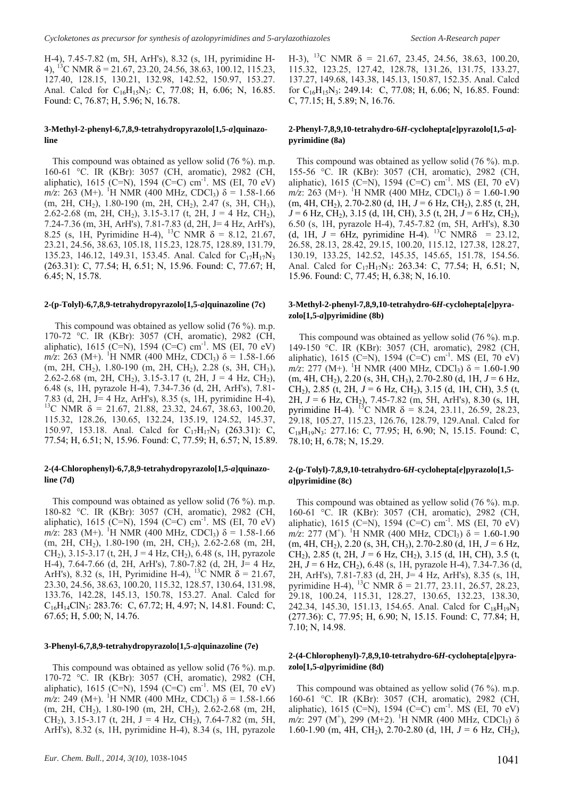H-4), 7.45-7.82 (m, 5H, ArH's), 8.32 (s, 1H, pyrimidine H-4), <sup>13</sup>C NMR  $\delta$  = 21.67, 23.20, 24.56, 38.63, 100.12, 115.23, 127.40, 128.15, 130.21, 132.98, 142.52, 150.97, 153.27. Anal. Calcd for  $C_{16}H_{15}N_3$ : C, 77.08; H, 6.06; N, 16.85. Found: C, 76.87; H, 5.96; N, 16.78.

#### **3-Methyl-2-phenyl-6,7,8,9-tetrahydropyrazolo[1,5-***a***]quinazoline**

This compound was obtained as yellow solid (76 %). m.p. 160-61 °C. IR (KBr): 3057 (CH, aromatic), 2982 (CH, aliphatic), 1615 (C=N), 1594 (C=C) cm<sup>-1</sup>. MS (EI, 70 eV)  $m/z$ : 263 (M+). <sup>1</sup>H NMR (400 MHz, CDCl<sub>3</sub>) δ = 1.58-1.66 (m, 2H, CH<sub>2</sub>), 1.80-190 (m, 2H, CH<sub>2</sub>), 2.47 (s, 3H, CH<sub>3</sub>), 2.62-2.68 (m, 2H, CH<sub>2</sub>), 3.15-3.17 (t, 2H, J = 4 Hz, CH<sub>2</sub>), 7.24-7.36 (m, 3H, ArH's), 7.81-7.83 (d, 2H, J= 4 Hz, ArH's), 8.25 (s, 1H, Pyrimidine H-4), <sup>13</sup>C NMR  $\delta$  = 8.12, 21.67, 23.21, 24.56, 38.63, 105.18, 115.23, 128.75, 128.89, 131.79, 135.23, 146.12, 149.31, 153.45. Anal. Calcd for  $C_{17}H_{17}N_3$ (263.31): C, 77.54; H, 6.51; N, 15.96. Found: C, 77.67; H, 6.45; N, 15.78.

#### **2-(p-Tolyl)-6,7,8,9-tetrahydropyrazolo[1,5-***a***]quinazoline (7c)**

This compound was obtained as yellow solid (76 %). m.p. 170-72 °C. IR (KBr): 3057 (CH, aromatic), 2982 (CH, aliphatic), 1615 (C=N), 1594 (C=C) cm<sup>-1</sup>. MS (EI, 70 eV)  $m/z$ : 263 (M+). <sup>1</sup>H NMR (400 MHz, CDCl<sub>3</sub>) δ = 1.58-1.66 (m, 2H, CH<sub>2</sub>), 1.80-190 (m, 2H, CH<sub>2</sub>), 2.28 (s, 3H, CH<sub>3</sub>), 2.62-2.68 (m, 2H, CH<sub>2</sub>), 3.15-3.17 (t, 2H, J = 4 Hz, CH<sub>2</sub>), 6.48 (s, 1H, pyrazole H-4), 7.34-7.36 (d, 2H, ArH's), 7.81- 7.83 (d, 2H, J= 4 Hz, ArH's), 8.35 (s, 1H, pyrimidine H-4), <sup>13</sup>C NMR  $\delta$  = 21.67, 21.88, 23.32, 24.67, 38.63, 100.20, 115.32, 128.26, 130.65, 132.24, 135.19, 124.52, 145.37, 150.97, 153.18. Anal. Calcd for  $C_{17}H_{17}N_3$  (263.31): C, 77.54; H, 6.51; N, 15.96. Found: C, 77.59; H, 6.57; N, 15.89.

#### **2-(4-Chlorophenyl)-6,7,8,9-tetrahydropyrazolo[1,5-***a***]quinazoline (7d)**

This compound was obtained as yellow solid (76 %). m.p. 180-82 °C. IR (KBr): 3057 (CH, aromatic), 2982 (CH, aliphatic), 1615 (C=N), 1594 (C=C) cm<sup>-1</sup>. MS (EI, 70 eV)  $m/z$ : 283 (M+). <sup>1</sup>H NMR (400 MHz, CDCl<sub>3</sub>) δ = 1.58-1.66 (m, 2H, CH2), 1.80-190 (m, 2H, CH2), 2.62-2.68 (m, 2H, CH<sub>2</sub>), 3.15-3.17 (t, 2H, J = 4 Hz, CH<sub>2</sub>), 6.48 (s, 1H, pyrazole H-4), 7.64-7.66 (d, 2H, ArH's), 7.80-7.82 (d, 2H, J= 4 Hz, ArH's), 8.32 (s, 1H, Pyrimidine H-4), <sup>13</sup>C NMR  $\delta = 21.67$ , 23.30, 24.56, 38.63, 100.20, 115.32, 128.57, 130.64, 131.98, 133.76, 142.28, 145.13, 150.78, 153.27. Anal. Calcd for C16H14ClN3: 283.76: C, 67.72; H, 4.97; N, 14.81. Found: C, 67.65; H, 5.00; N, 14.76.

#### **3-Phenyl-6,7,8,9-tetrahydropyrazolo[1,5-***a***]quinazoline (7e)**

This compound was obtained as yellow solid (76 %). m.p. 170-72 °C. IR (KBr): 3057 (CH, aromatic), 2982 (CH, aliphatic), 1615 (C=N), 1594 (C=C) cm<sup>-1</sup>. MS (EI, 70 eV)  $m/z$ : 249 (M+). <sup>1</sup>H NMR (400 MHz, CDCl<sub>3</sub>) δ = 1.58-1.66 (m, 2H, CH2), 1.80-190 (m, 2H, CH2), 2.62-2.68 (m, 2H, CH<sub>2</sub>), 3.15-3.17 (t, 2H, J = 4 Hz, CH<sub>2</sub>), 7.64-7.82 (m, 5H, ArH's), 8.32 (s, 1H, pyrimidine H-4), 8.34 (s, 1H, pyrazole

H-3), <sup>13</sup>C NMR  $\delta$  = 21.67, 23.45, 24.56, 38.63, 100.20, 115.32, 123.25, 127.42, 128.78, 131.26, 131.75, 133.27, 137.27, 149.68, 143.38, 145.13, 150.87, 152.35. Anal. Calcd for  $C_{16}H_{15}N_3$ : 249.14: C, 77.08; H, 6.06; N, 16.85. Found: C, 77.15; H, 5.89; N, 16.76.

#### **2-Phenyl-7,8,9,10-tetrahydro-6***H***-cyclohepta[***e***]pyrazolo[1,5-***a***] pyrimidine (8a)**

This compound was obtained as yellow solid (76 %). m.p. 155-56 °C. IR (KBr): 3057 (CH, aromatic), 2982 (CH, aliphatic), 1615 (C=N), 1594 (C=C) cm<sup>-1</sup>. MS (EI, 70 eV)  $m/z$ : 263 (M+). <sup>1</sup>H NMR (400 MHz, CDCl<sub>3</sub>) δ = 1.60-1.90  $(m, 4H, CH<sub>2</sub>), 2.70-2.80$  (d, 1H,  $J = 6$  Hz, CH<sub>2</sub>), 2.85 (t, 2H,  $J = 6$  Hz, CH<sub>2</sub>), 3.15 (d, 1H, CH), 3.5 (t, 2H,  $J = 6$  Hz, CH<sub>2</sub>), 6.50 (s, 1H, pyrazole H-4), 7.45-7.82 (m, 5H, ArH's), 8.30 (d, 1H,  $J = 6$ Hz, pyrimidine H-4). <sup>13</sup>C NMR $\delta$  = 23.12, 26.58, 28.13, 28.42, 29.15, 100.20, 115.12, 127.38, 128.27, 130.19, 133.25, 142.52, 145.35, 145.65, 151.78, 154.56. Anal. Calcd for  $C_{17}H_{17}N_3$ : 263.34: C, 77.54; H, 6.51; N, 15.96. Found: C, 77.45; H, 6.38; N, 16.10.

#### **3-Methyl-2-phenyl-7,8,9,10-tetrahydro-6***H***-cyclohepta[***e***]pyrazolo[1,5-***a***]pyrimidine (8b)**

This compound was obtained as yellow solid (76 %). m.p. 149-150 °C. IR (KBr): 3057 (CH, aromatic), 2982 (CH, aliphatic), 1615 (C=N), 1594 (C=C) cm<sup>-1</sup>. MS (EI, 70 eV)  $m/z$ : 277 (M+). <sup>1</sup>H NMR (400 MHz, CDCl<sub>3</sub>) δ = 1.60-1.90 (m, 4H, CH2), 2.20 (s, 3H, CH3), 2.70-2.80 (d, 1H, *J* = 6 Hz, CH2), 2.85 (t, 2H, *J* = 6 Hz, CH2), 3.15 (d, 1H, CH), 3.5 (t, 2H,  $J = 6$  Hz, CH<sub>2</sub>), 7.45-7.82 (m, 5H, ArH's), 8.30 (s, 1H, pyrimidine H-4). <sup>13</sup>C NMR  $\delta$  = 8.24, 23.11, 26.59, 28.23, 29.18, 105.27, 115.23, 126.76, 128.79, 129.Anal. Calcd for  $C_{18}H_{19}N_3$ : 277.16: C, 77.95; H, 6.90; N, 15.15. Found: C, 78.10; H, 6.78; N, 15.29.

#### **2-(p-Tolyl)-7,8,9,10-tetrahydro-6***H***-cyclohepta[***e***]pyrazolo[1,5** *a***]pyrimidine (8c)**

This compound was obtained as yellow solid (76 %). m.p. 160-61 °C. IR (KBr): 3057 (CH, aromatic), 2982 (CH, aliphatic), 1615 (C=N), 1594 (C=C) cm<sup>-1</sup>. MS (EI, 70 eV)  $m/z$ : 277 (M<sup>+</sup>). <sup>1</sup>H NMR (400 MHz, CDCl<sub>3</sub>)  $\delta = 1.60$ -1.90  $(m, 4H, CH<sub>2</sub>), 2.20$  (s, 3H, CH<sub>3</sub>), 2.70-2.80 (d, 1H,  $J = 6$  Hz, CH<sub>2</sub>), 2.85 (t, 2H,  $J = 6$  Hz, CH<sub>2</sub>), 3.15 (d, 1H, CH), 3.5 (t, 2H,  $J = 6$  Hz, CH<sub>2</sub>), 6.48 (s, 1H, pyrazole H-4), 7.34-7.36 (d, 2H, ArH's), 7.81-7.83 (d, 2H, J= 4 Hz, ArH's), 8.35 (s, 1H, pyrimidine H-4), <sup>13</sup>C NMR  $\delta$  = 21.77, 23.11, 26.57, 28.23, 29.18, 100.24, 115.31, 128.27, 130.65, 132.23, 138.30, 242.34, 145.30, 151.13, 154.65. Anal. Calcd for  $C_{18}H_{19}N_3$ (277.36): C, 77.95; H, 6.90; N, 15.15. Found: C, 77.84; H, 7.10; N, 14.98.

#### **2-(4-Chlorophenyl)-7,8,9,10-tetrahydro-6***H***-cyclohepta[***e***]pyrazolo[1,5-***a***]pyrimidine (8d)**

This compound was obtained as yellow solid (76 %). m.p. 160-61 °C. IR (KBr): 3057 (CH, aromatic), 2982 (CH, aliphatic), 1615 (C=N), 1594 (C=C) cm<sup>-1</sup>. MS (EI, 70 eV)  $m/z$ : 297 (M<sup>+</sup>), 299 (M+2). <sup>1</sup>H NMR (400 MHz, CDCl<sub>3</sub>) δ 1.60-1.90 (m, 4H, CH2), 2.70-2.80 (d, 1H, *J* = 6 Hz, CH2),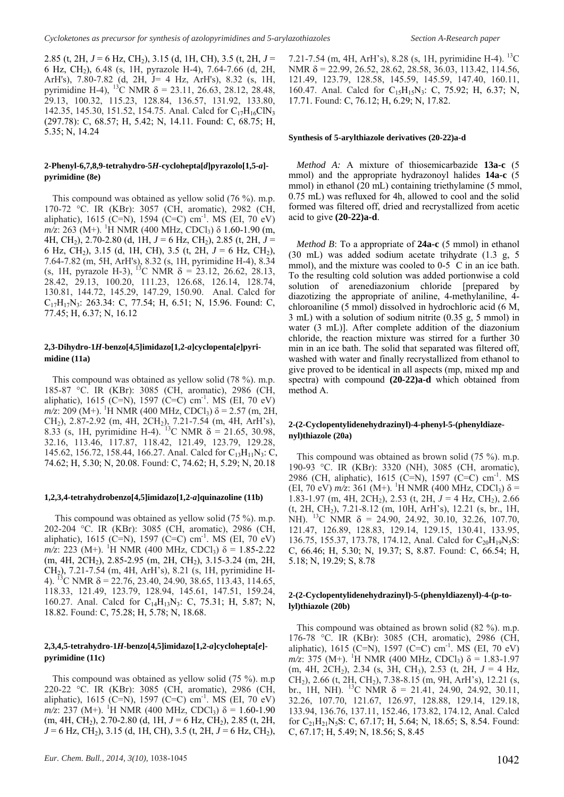2.85 (t, 2H,  $J = 6$  Hz, CH<sub>2</sub>), 3.15 (d, 1H, CH), 3.5 (t, 2H,  $J =$ 6 Hz, CH2), 6.48 (s, 1H, pyrazole H-4), 7.64-7.66 (d, 2H, ArH's), 7.80-7.82 (d, 2H, J= 4 Hz, ArH's), 8.32 (s, 1H, pyrimidine H-4), <sup>13</sup>C NMR  $\delta$  = 23.11, 26.63, 28.12, 28.48, 29.13, 100.32, 115.23, 128.84, 136.57, 131.92, 133.80, 142.35, 145.30, 151.52, 154.75. Anal. Calcd for C<sub>17</sub>H<sub>16</sub>ClN<sub>3</sub> (297.78): C, 68.57; H, 5.42; N, 14.11. Found: C, 68.75; H, 5.35; N, 14.24

#### **2-Phenyl-6,7,8,9-tetrahydro-5***H***-cyclohepta[***d***]pyrazolo[1,5-***a***] pyrimidine (8e)**

This compound was obtained as yellow solid (76 %). m.p. 170-72 °C. IR (KBr): 3057 (CH, aromatic), 2982 (CH, aliphatic), 1615 (C=N), 1594 (C=C) cm<sup>-1</sup>. MS (EI, 70 eV) *m/z*: 263 (M+). <sup>1</sup>H NMR (400 MHz, CDCl<sub>3</sub>) δ 1.60-1.90 (m, 4H, CH2), 2.70-2.80 (d, 1H, *J* = 6 Hz, CH2), 2.85 (t, 2H, *J* = 6 Hz, CH2), 3.15 (d, 1H, CH), 3.5 (t, 2H, *J* = 6 Hz, CH2), 7.64-7.82 (m, 5H, ArH's), 8.32 (s, 1H, pyrimidine H-4), 8.34 (s, 1H, pyrazole H-3), <sup>13</sup>C NMR  $\delta$  = 23.12, 26.62, 28.13, 28.42, 29.13, 100.20, 111.23, 126.68, 126.14, 128.74, 130.81, 144.72, 145.29, 147.29, 150.90. Anal. Calcd for C17H17N3: 263.34: C, 77.54; H, 6.51; N, 15.96. Found: C, 77.45; H, 6.37; N, 16.12

#### **2,3-Dihydro-1***H***-benzo[4,5]imidazo[1,2-***a***]cyclopenta[***e***]pyrimidine (11a)**

This compound was obtained as yellow solid (78 %). m.p. 185-87 °C. IR (KBr): 3085 (CH, aromatic), 2986 (CH, aliphatic), 1615 (C=N), 1597 (C=C) cm<sup>-1</sup>. MS (EI, 70 eV)  $m/\overline{z}$ : 209 (M+). <sup>1</sup>H NMR (400 MHz, CDCl<sub>3</sub>)  $\delta$  = 2.57 (m, 2H, CH2), 2.87-2.92 (m, 4H, 2CH2), 7.21-7.54 (m, 4H, ArH's), 8.33 (s, 1H, pyrimidine H-4). <sup>13</sup>C NMR  $\delta$  = 21.65, 30.98, 32.16, 113.46, 117.87, 118.42, 121.49, 123.79, 129.28, 145.62, 156.72, 158.44, 166.27. Anal. Calcd for  $C_{13}H_{11}N_3$ : C, 74.62; H, 5.30; N, 20.08. Found: C, 74.62; H, 5.29; N, 20.18

#### **1,2,3,4-tetrahydrobenzo[4,5]imidazo[1,2-***a***]quinazoline (11b)**

This compound was obtained as yellow solid (75 %). m.p. 202-204 °C. IR (KBr): 3085 (CH, aromatic), 2986 (CH, aliphatic), 1615 (C=N), 1597 (C=C) cm<sup>-1</sup>. MS (EI, 70 eV)  $m/z$ : 223 (M+). <sup>1</sup>H NMR (400 MHz, CDCl<sub>3</sub>) δ = 1.85-2.22 (m, 4H, 2CH2), 2.85-2.95 (m, 2H, CH2), 3.15-3.24 (m, 2H, CH2), 7.21-7.54 (m, 4H, ArH's), 8.21 (s, 1H, pyrimidine H-4). <sup>13</sup>C NMR  $\delta$  = 22.76, 23.40, 24.90, 38.65, 113.43, 114.65, 118.33, 121.49, 123.79, 128.94, 145.61, 147.51, 159.24, 160.27. Anal. Calcd for  $C_{14}H_{13}N_3$ : C, 75.31; H, 5.87; N, 18.82. Found: C, 75.28; H, 5.78; N, 18.68.

#### **2,3,4,5-tetrahydro-1***H***-benzo[4,5]imidazo[1,2-***a***]cyclohepta[***e***] pyrimidine (11c)**

This compound was obtained as yellow solid (75 %). m.p 220-22 °C. IR (KBr): 3085 (CH, aromatic), 2986 (CH, aliphatic), 1615 (C=N), 1597 (C=C) cm<sup>-1</sup>. MS (EI, 70 eV)  $m/z$ : 237 (M+). <sup>1</sup>H NMR (400 MHz, CDCl<sub>3</sub>) δ = 1.60-1.90  $(m, 4H, CH<sub>2</sub>), 2.70-2.80$  (d, 1H,  $J = 6$  Hz, CH<sub>2</sub>), 2.85 (t, 2H,  $J = 6$  Hz, CH<sub>2</sub>), 3.15 (d, 1H, CH), 3.5 (t, 2H,  $J = 6$  Hz, CH<sub>2</sub>),

7.21-7.54 (m, 4H, ArH's), 8.28 (s, 1H, pyrimidine H-4). <sup>13</sup>C NMR δ = 22.99, 26.52, 28.62, 28.58, 36.03, 113.42, 114.56, 121.49, 123.79, 128.58, 145.59, 145.59, 147.40, 160.11, 160.47. Anal. Calcd for C<sub>15</sub>H<sub>15</sub>N<sub>3</sub>: C, 75.92; H, 6.37; N, 17.71. Found: C, 76.12; H, 6.29; N, 17.82.

#### **Synthesis of 5-arylthiazole derivatives (20-22)a-d**

*Method A:* A mixture of thiosemicarbazide **13a-c** (5 mmol) and the appropriate hydrazonoyl halides **14a-c** (5 mmol) in ethanol (20 mL) containing triethylamine (5 mmol, 0.75 mL) was refluxed for 4h, allowed to cool and the solid formed was filtered off, dried and recrystallized from acetic acid to give **(20-22)a-d**.

*Method B*: To a appropriate of **24a-c** (5 mmol) in ethanol (30 mL) was added sodium acetate trihydrate (1.3 g, 5 (50 IIIL) was added socially accurate thingulate  $(1.5 \text{ g}, 5 \text{ mm})$ ), and the mixture was cooled to 0-5 C in an ice bath. To the resulting cold solution was added portionwise a cold solution of arenediazonium chloride [prepared by diazotizing the appropriate of aniline, 4-methylaniline, 4 chloroaniline (5 mmol) dissolved in hydrochloric acid (6 M, 3 mL) with a solution of sodium nitrite (0.35 g, 5 mmol) in water (3 mL)]. After complete addition of the diazonium chloride, the reaction mixture was stirred for a further 30 min in an ice bath. The solid that separated was filtered off, washed with water and finally recrystallized from ethanol to give proved to be identical in all aspects (mp, mixed mp and spectra) with compound **(20-22)a-d** which obtained from method A.

#### **2-(2-Cyclopentylidenehydrazinyl)-4-phenyl-5-(phenyldiazenyl)thiazole (20a)**

This compound was obtained as brown solid (75 %). m.p. 190-93 °C. IR (KBr): 3320 (NH), 3085 (CH, aromatic), 2986 (CH, aliphatic), 1615 (C=N), 1597 (C=C) cm-1. MS (EI, 70 eV)  $m/z$ : 361 (M+). <sup>1</sup>H NMR (400 MHz, CDCl<sub>3</sub>) δ = 1.83-1.97 (m, 4H, 2CH2), 2.53 (t, 2H, *J* = 4 Hz, CH2), 2.66 (t, 2H, CH2), 7.21-8.12 (m, 10H, ArH's), 12.21 (s, br., 1H, NH). <sup>13</sup>C NMR  $\delta$  = 24.90, 24.92, 30.10, 32.26, 107.70, 121.47, 126.89, 128.83, 129.14, 129.15, 130.41, 133.95, 136.75, 155.37, 173.78, 174.12, Anal. Calcd for  $C_{20}H_{19}N_5S$ : C, 66.46; H, 5.30; N, 19.37; S, 8.87. Found: C, 66.54; H, 5.18; N, 19.29; S, 8.78

#### **2-(2-Cyclopentylidenehydrazinyl)-5-(phenyldiazenyl)-4-(p-tolyl)thiazole (20b)**

This compound was obtained as brown solid (82 %). m.p. 176-78 °C. IR (KBr): 3085 (CH, aromatic), 2986 (CH, aliphatic), 1615 (C=N), 1597 (C=C) cm<sup>-1</sup>. MS (EI, 70 eV)  $m/z$ : 375 (M+). <sup>1</sup>H NMR (400 MHz, CDCl<sub>3</sub>) δ = 1.83-1.97 (m, 4H, 2CH<sub>2</sub>), 2.34 (s, 3H, CH<sub>3</sub>), 2.53 (t, 2H,  $J = 4$  Hz,  $CH<sub>2</sub>$ ), 2.66 (t, 2H, CH<sub>2</sub>), 7.38-8.15 (m, 9H, ArH's), 12.21 (s, br., 1H, NH). <sup>13</sup>C NMR  $\delta$  = 21.41, 24.90, 24.92, 30.11, 32.26, 107.70, 121.67, 126.97, 128.88, 129.14, 129.18, 133.94, 136.76, 137.11, 152.46, 173.82, 174.12, Anal. Calcd for  $C_{21}H_{21}N_5S$ : C, 67.17; H, 5.64; N, 18.65; S, 8.54. Found: C, 67.17; H, 5.49; N, 18.56; S, 8.45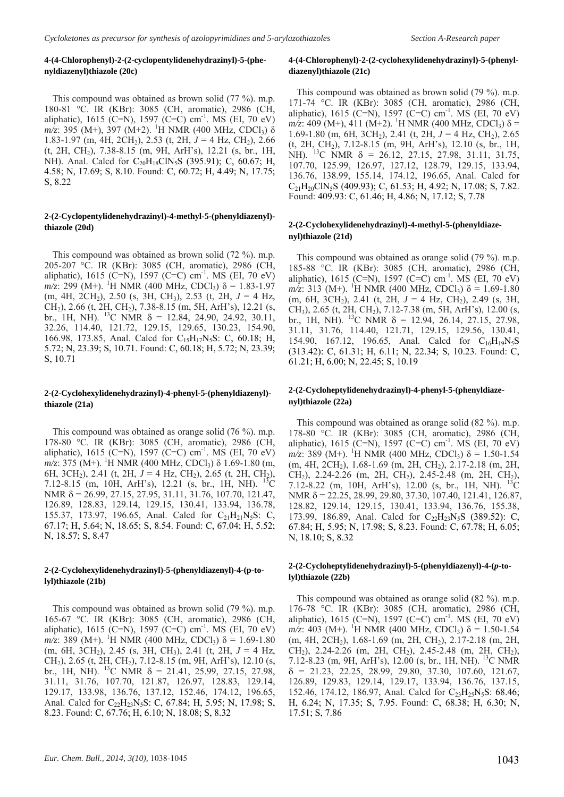#### **4-(4-Chlorophenyl)-2-(2-cyclopentylidenehydrazinyl)-5-(phenyldiazenyl)thiazole (20c)**

This compound was obtained as brown solid (77 %). m.p. 180-81 °C. IR (KBr): 3085 (CH, aromatic), 2986 (CH, aliphatic), 1615 (C=N), 1597 (C=C) cm<sup>-1</sup>. MS (EI, 70 eV) *m/z*: 395 (M+), 397 (M+2). <sup>1</sup>H NMR (400 MHz, CDCl<sub>3</sub>) δ 1.83-1.97 (m, 4H, 2CH<sub>2</sub>), 2.53 (t, 2H,  $J = 4$  Hz, CH<sub>2</sub>), 2.66  $(t, 2H, CH<sub>2</sub>)$ , 7.38-8.15 (m, 9H, ArH's), 12.21 (s, br., 1H, NH). Anal. Calcd for  $C_{20}H_{18}CN_5S$  (395.91); C, 60.67; H, 4.58; N, 17.69; S, 8.10. Found: C, 60.72; H, 4.49; N, 17.75; S, 8.22

#### **2-(2-Cyclopentylidenehydrazinyl)-4-methyl-5-(phenyldiazenyl) thiazole (20d)**

This compound was obtained as brown solid (72 %). m.p. 205-207 °C. IR (KBr): 3085 (CH, aromatic), 2986 (CH, aliphatic), 1615 (C=N), 1597 (C=C) cm<sup>-1</sup>. MS (EI, 70 eV)  $m/z$ : 299 (M+). <sup>1</sup>H NMR (400 MHz, CDCl<sub>3</sub>) δ = 1.83-1.97 (m, 4H, 2CH<sub>2</sub>), 2.50 (s, 3H, CH<sub>3</sub>), 2.53 (t, 2H,  $J = 4$  Hz,  $CH<sub>2</sub>$ ), 2.66 (t, 2H, CH<sub>2</sub>), 7.38-8.15 (m, 5H, ArH's), 12.21 (s, br., 1H, NH). <sup>13</sup>C NMR  $\delta$  = 12.84, 24.90, 24.92, 30.11, 32.26, 114.40, 121.72, 129.15, 129.65, 130.23, 154.90, 166.98, 173.85, Anal. Calcd for C<sub>15</sub>H<sub>17</sub>N<sub>5</sub>S: C, 60.18; H, 5.72; N, 23.39; S, 10.71. Found: C, 60.18; H, 5.72; N, 23.39; S, 10.71

#### **2-(2-Cyclohexylidenehydrazinyl)-4-phenyl-5-(phenyldiazenyl) thiazole (21a)**

This compound was obtained as orange solid (76 %). m.p. 178-80 °C. IR (KBr): 3085 (CH, aromatic), 2986 (CH, aliphatic), 1615 (C=N), 1597 (C=C) cm<sup>-1</sup>. MS (EI, 70 eV)  $m/z$ : 375 (M+). <sup>1</sup>H NMR (400 MHz, CDCl<sub>3</sub>)  $\delta$  1.69-1.80 (m, H NMR (400 MHz, CDCl3) δ 1.69-1.80 (m, 6H, 3CH2), 2.41 (t, 2H, *J* = 4 Hz, CH2), 2.65 (t, 2H, CH2), 7.12-8.15 (m, 10H, ArH's), 12.21 (s, br., 1H, NH).  $^{13}C$ NMR δ = 26.99, 27.15, 27.95, 31.11, 31.76, 107.70, 121.47, 126.89, 128.83, 129.14, 129.15, 130.41, 133.94, 136.78, 155.37, 173.97, 196.65, Anal. Calcd for  $C_{21}H_{21}N_5S$ : C, 67.17; H, 5.64; N, 18.65; S, 8.54. Found: C, 67.04; H, 5.52; N, 18.57; S, 8.47

#### **2-(2-Cyclohexylidenehydrazinyl)-5-(phenyldiazenyl)-4-(p-tolyl)thiazole (21b)**

This compound was obtained as brown solid (79 %). m.p. 165-67 °C. IR (KBr): 3085 (CH, aromatic), 2986 (CH, aliphatic), 1615 (C=N), 1597 (C=C) cm<sup>-1</sup>. MS (EI, 70 eV)  $m/z$ : 389 (M+). <sup>1</sup>H NMR (400 MHz, CDCl<sub>3</sub>) δ = 1.69-1.80 (m, 6H, 3CH<sub>2</sub>), 2.45 (s, 3H, CH<sub>3</sub>), 2.41 (t, 2H,  $J = 4$  Hz, CH<sub>2</sub>), 2.65 (t, 2H, CH<sub>2</sub>), 7.12-8.15 (m, 9H, ArH's), 12.10 (s, br., 1H, NH). <sup>13</sup>C NMR  $\delta$  = 21.41, 25.99, 27.15, 27.98, 31.11, 31.76, 107.70, 121.87, 126.97, 128.83, 129.14, 129.17, 133.98, 136.76, 137.12, 152.46, 174.12, 196.65, Anal. Calcd for  $C_{22}H_{23}N_{5}S$ : C, 67.84; H, 5.95; N, 17.98; S, 8.23. Found: C, 67.76; H, 6.10; N, 18.08; S, 8.32

### **4-(4-Chlorophenyl)-2-(2-cyclohexylidenehydrazinyl)-5-(phenyldiazenyl)thiazole (21c)**

This compound was obtained as brown solid (79 %). m.p. 171-74 °C. IR (KBr): 3085 (CH, aromatic), 2986 (CH, aliphatic), 1615 (C=N), 1597 (C=C) cm<sup>-1</sup>. MS (EI, 70 eV)  $m/z$ : 409 (M+), 411 (M+2). <sup>1</sup>H NMR (400 MHz, CDCl<sub>3</sub>) δ = 1.69-1.80 (m, 6H, 3CH<sub>2</sub>), 2.41 (t, 2H,  $J = 4$  Hz, CH<sub>2</sub>), 2.65 (t, 2H, CH2), 7.12-8.15 (m, 9H, ArH's), 12.10 (s, br., 1H, NH). <sup>13</sup>C NMR  $\delta$  = 26.12, 27.15, 27.98, 31.11, 31.75, 107.70, 125.99, 126.97, 127.12, 128.79, 129.15, 133.94, 136.76, 138.99, 155.14, 174.12, 196.65, Anal. Calcd for C<sub>21</sub>H<sub>20</sub>ClN<sub>5</sub>S (409.93); C, 61.53; H, 4.92; N, 17.08; S, 7.82. Found: 409.93: C, 61.46; H, 4.86; N, 17.12; S, 7.78

#### **2-(2-Cyclohexylidenehydrazinyl)-4-methyl-5-(phenyldiazenyl)thiazole (21d)**

This compound was obtained as orange solid (79 %). m.p. 185-88 °C. IR (KBr): 3085 (CH, aromatic), 2986 (CH, aliphatic), 1615 (C=N), 1597 (C=C) cm<sup>-1</sup>. MS (EI, 70 eV)  $m/z$ : 313 (M+). <sup>1</sup>H NMR (400 MHz, CDCl<sub>3</sub>) δ = 1.69-1.80 (m, 6H, 3CH2), 2.41 (t, 2H, *J* = 4 Hz, CH2), 2.49 (s, 3H, CH3), 2.65 (t, 2H, CH2), 7.12-7.38 (m, 5H, ArH's), 12.00 (s, br., 1H, NH). <sup>13</sup>C NMR  $\delta$  = 12.94, 26.14, 27.15, 27.98, 31.11, 31.76, 114.40, 121.71, 129.15, 129.56, 130.41, 154.90, 167.12, 196.65, Anal. Calcd for  $C_{16}H_{19}N_5S$ (313.42): C, 61.31; H, 6.11; N, 22.34; S, 10.23. Found: C, 61.21; H, 6.00; N, 22.45; S, 10.19

#### **2-(2-Cycloheptylidenehydrazinyl)-4-phenyl-5-(phenyldiazenyl)thiazole (22a)**

This compound was obtained as orange solid (82 %). m.p. 178-80 °C. IR (KBr): 3085 (CH, aromatic), 2986 (CH, aliphatic), 1615 (C=N), 1597 (C=C) cm<sup>-1</sup>. MS (EI, 70 eV)  $m/z$ : 389 (M+). <sup>1</sup>H NMR (400 MHz, CDCl<sub>3</sub>) δ = 1.50-1.54  $(m, 4H, 2CH<sub>2</sub>)$ , 1.68-1.69  $(m, 2H, CH<sub>2</sub>)$ , 2.17-2.18  $(m, 2H,$ CH<sub>2</sub>), 2.24-2.26 (m, 2H, CH<sub>2</sub>), 2.45-2.48 (m, 2H, CH<sub>2</sub>), 7.12-8.22 (m, 10H, ArH's), 12.00 (s, br., 1H, NH). NMR δ = 22.25, 28.99, 29.80, 37.30, 107.40, 121.41, 126.87, 128.82, 129.14, 129.15, 130.41, 133.94, 136.76, 155.38, 173.99, 186.89, Anal. Calcd for  $C_{22}H_{23}N_5S$  (389.52): C, 67.84; H, 5.95; N, 17.98; S, 8.23. Found: C, 67.78; H, 6.05; N, 18.10; S, 8.32

#### **2-(2-Cycloheptylidenehydrazinyl)-5-(phenyldiazenyl)-4-(***p***-tolyl)thiazole (22b)**

This compound was obtained as orange solid (82 %). m.p. 176-78 °C. IR (KBr): 3085 (CH, aromatic), 2986 (CH, aliphatic), 1615 (C=N), 1597 (C=C) cm<sup>-1</sup>. MS (EI, 70 eV)  $m/z$ : 403 (M+). <sup>1</sup>H NMR (400 MHz, CDCl<sub>3</sub>) δ = 1.50-1.54  $(m, 4H, 2CH<sub>2</sub>)$ , 1.68-1.69  $(m, 2H, CH<sub>2</sub>)$ , 2.17-2.18  $(m, 2H,$  $CH<sub>2</sub>$ ), 2.24-2.26 (m, 2H, CH<sub>2</sub>), 2.45-2.48 (m, 2H, CH<sub>2</sub>), 7.12-8.23 (m, 9H, ArH's), 12.00 (s, br., 1H, NH). 13C NMR  $\delta = 21.23, 22.25, 28.99, 29.80, 37.30, 107.60, 121.67,$ 126.89, 129.83, 129.14, 129.17, 133.94, 136.76, 137.15, 152.46, 174.12, 186.97, Anal. Calcd for  $C_{23}H_{25}N_5S$ : 68.46; H, 6.24; N, 17.35; S, 7.95. Found: C, 68.38; H, 6.30; N, 17.51; S, 7.86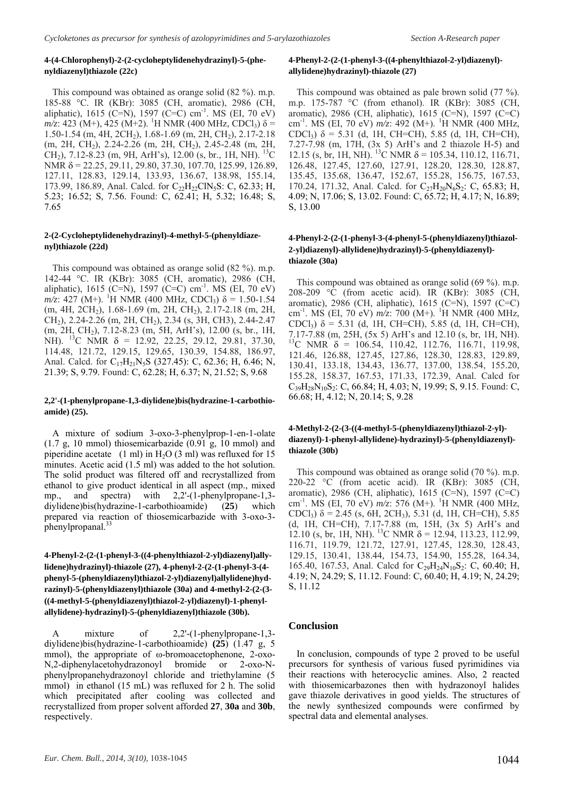#### **4-(4-Chlorophenyl)-2-(2-cycloheptylidenehydrazinyl)-5-(phenyldiazenyl)thiazole (22c)**

This compound was obtained as orange solid (82 %). m.p. 185-88 °C. IR (KBr): 3085 (CH, aromatic), 2986 (CH, aliphatic), 1615 (C=N), 1597 (C=C) cm<sup>-1</sup>. MS (EI, 70 eV)  $m/z$ : 423 (M+), 425 (M+2). <sup>1</sup>H NMR (400 MHz, CDCl<sub>3</sub>) δ = 1.50-1.54 (m, 4H, 2CH2), 1.68-1.69 (m, 2H, CH2), 2.17-2.18 (m, 2H, CH2), 2.24-2.26 (m, 2H, CH2), 2.45-2.48 (m, 2H, CH<sub>2</sub>), 7.12-8.23 (m, 9H, ArH's), 12.00 (s, br., 1H, NH). <sup>13</sup>C NMR  $\delta$  = 22.25, 29.11, 29.80, 37.30, 107.70, 125.99, 126.89, 127.11, 128.83, 129.14, 133.93, 136.67, 138.98, 155.14, 173.99, 186.89, Anal. Calcd. for C<sub>22</sub>H<sub>22</sub>ClN<sub>5</sub>S: C, 62.33; H, 5.23; 16.52; S, 7.56. Found: C, 62.41; H, 5.32; 16.48; S, 7.65

#### **2-(2-Cycloheptylidenehydrazinyl)-4-methyl-5-(phenyldiazenyl)thiazole (22d)**

This compound was obtained as orange solid (82 %). m.p. 142-44 °C. IR (KBr): 3085 (CH, aromatic), 2986 (CH, aliphatic), 1615 (C=N), 1597 (C=C) cm<sup>-1</sup>. MS (EI, 70 eV)  $m/z$ : 427 (M+). <sup>1</sup>H NMR (400 MHz, CDCl<sub>3</sub>)  $\delta = 1.50$ -1.54 (m, 4H, 2CH<sub>2</sub>), 1.68-1.69 (m, 2H, CH<sub>2</sub>), 2.17-2.18 (m, 2H, CH2), 2.24-2.26 (m, 2H, CH2), 2.34 (s, 3H, CH3), 2.44-2.47 (m, 2H, CH2), 7.12-8.23 (m, 5H, ArH's), 12.00 (s, br., 1H, NH). <sup>13</sup>C NMR  $\delta$  = 12.92, 22.25, 29.12, 29.81, 37.30, 114.48, 121.72, 129.15, 129.65, 130.39, 154.88, 186.97, Anal. Calcd. for C<sub>17</sub>H<sub>21</sub>N<sub>5</sub>S (327.45): C, 62.36; H, 6.46; N, 21.39; S, 9.79. Found: C, 62.28; H, 6.37; N, 21.52; S, 9.68

#### **2,2'-(1-phenylpropane-1,3-diylidene)bis(hydrazine-1-carbothioamide) (25).**

A mixture of sodium 3-oxo-3-phenylprop-1-en-1-olate (1.7 g, 10 mmol) thiosemicarbazide (0.91 g, 10 mmol) and piperidine acetate  $(1 \text{ ml})$  in H<sub>2</sub>O (3 ml) was refluxed for 15 minutes. Acetic acid (1.5 ml) was added to the hot solution. The solid product was filtered off and recrystallized from ethanol to give product identical in all aspect (mp., mixed mp., and spectra) with 2,2'-(1-phenylpropane-1,3 diylidene)bis(hydrazine-1-carbothioamide) (**25**) which prepared via reaction of thiosemicarbazide with 3-oxo-3 phenylpropanal.<sup>33</sup>

**4-Phenyl-2-(2-(1-phenyl-3-((4-phenylthiazol-2-yl)diazenyl)allylidene)hydrazinyl)-thiazole (27), 4-phenyl-2-(2-(1-phenyl-3-(4 phenyl-5-(phenyldiazenyl)thiazol-2-yl)diazenyl)allylidene)hydrazinyl)-5-(phenyldiazenyl)thiazole (30a) and 4-methyl-2-(2-(3- ((4-methyl-5-(phenyldiazenyl)thiazol-2-yl)diazenyl)-1-phenylallylidene)-hydrazinyl)-5-(phenyldiazenyl)thiazole (30b).** 

A mixture of 2,2'-(1-phenylpropane-1,3diylidene)bis(hydrazine-1-carbothioamide) **(25**) (1.47 g, 5 mmol), the appropriate of ω-bromoacetophenone, 2-oxo-N,2-diphenylacetohydrazonoyl bromide or 2-oxo-Nphenylpropanehydrazonoyl chloride and triethylamine (5 mmol) in ethanol (15 mL) was refluxed for 2 h. The solid which precipitated after cooling was collected and recrystallized from proper solvent afforded **27**, **30a** and **30b**, respectively.

#### **4-Phenyl-2-(2-(1-phenyl-3-((4-phenylthiazol-2-yl)diazenyl) allylidene)hydrazinyl)-thiazole (27)**

This compound was obtained as pale brown solid (77 %). m.p. 175-787 °C (from ethanol). IR (KBr): 3085 (CH, aromatic), 2986 (CH, aliphatic), 1615 (C=N), 1597 (C=C) cm<sup>-1</sup>. MS (EI, 70 eV)  $m/z$ : 492 (M+). <sup>1</sup>H NMR (400 MHz, CDCl3) δ = 5.31 (d, 1H, CH=CH), 5.85 (d, 1H, CH=CH), 7.27-7.98 (m, 17H, (3x 5) ArH's and 2 thiazole H-5) and 12.15 (s, br, 1H, NH). <sup>13</sup>C NMR  $\delta$  = 105.34, 110.12, 116.71, 126.48, 127.45, 127.60, 127.91, 128.20, 128.30, 128.87, 135.45, 135.68, 136.47, 152.67, 155.28, 156.75, 167.53, 170.24, 171.32, Anal. Calcd. for C<sub>27</sub>H<sub>20</sub>N<sub>6</sub>S<sub>2</sub>: C, 65.83; H, 4.09; N, 17.06; S, 13.02. Found: C, 65.72; H, 4.17; N, 16.89; S, 13.00

#### **4-Phenyl-2-(2-(1-phenyl-3-(4-phenyl-5-(phenyldiazenyl)thiazol-2-yl)diazenyl)-allylidene)hydrazinyl)-5-(phenyldiazenyl) thiazole (30a)**

This compound was obtained as orange solid (69 %). m.p. 208-209 °C (from acetic acid). IR (KBr): 3085 (CH, aromatic), 2986 (CH, aliphatic), 1615 (C=N), 1597 (C=C) cm-1. MS (EI, 70 eV) *m/z*: 700 (M+). <sup>1</sup> H NMR (400 MHz, CDCl3) δ = 5.31 (d, 1H, CH=CH), 5.85 (d, 1H, CH=CH), 7.17-7.88 (m, 25H, (5x 5) ArH's and 12.10 (s, br, 1H, NH).  $^{13}$ C NMR  $\delta$  = 106.54, 110.42, 112.76, 116.71, 119.98, 121.46, 126.88, 127.45, 127.86, 128.30, 128.83, 129.89, 130.41, 133.18, 134.43, 136.77, 137.00, 138.54, 155.20, 155.28, 158.37, 167.53, 171.33, 172.39, Anal. Calcd for  $C_{39}H_{28}N_{10}S_2$ : C, 66.84; H, 4.03; N, 19.99; S, 9.15. Found: C, 66.68; H, 4.12; N, 20.14; S, 9.28

#### **4-Methyl-2-(2-(3-((4-methyl-5-(phenyldiazenyl)thiazol-2-yl) diazenyl)-1-phenyl-allylidene)-hydrazinyl)-5-(phenyldiazenyl) thiazole (30b)**

This compound was obtained as orange solid (70 %). m.p. 220-22 °C (from acetic acid). IR (KBr): 3085 (CH, aromatic), 2986 (CH, aliphatic), 1615 (C=N), 1597 (C=C) cm<sup>-1</sup>. MS (EI, 70 eV)  $m/z$ : 576 (M+). <sup>1</sup>H NMR (400 MHz, CDCl<sub>3</sub>)  $\delta$  = 2.45 (s, 6H, 2CH<sub>3</sub>), 5.31 (d, 1H, CH=CH), 5.85 (d, 1H, CH=CH), 7.17-7.88 (m, 15H, (3x 5) ArH's and 12.10 (s, br, 1H, NH). <sup>13</sup>C NMR  $\delta$  = 12.94, 113.23, 112.99, 116.71, 119.79, 121.72, 127.91, 127.45, 128.30, 128.43, 129.15, 130.41, 138.44, 154.73, 154.90, 155.28, 164.34, 165.40, 167.53, Anal. Calcd for  $C_{29}H_{24}N_{10}S_2$ : C, 60.40; H, 4.19; N, 24.29; S, 11.12. Found: C, 60.40; H, 4.19; N, 24.29; S, 11.12

#### **Conclusion**

In conclusion, compounds of type 2 proved to be useful precursors for synthesis of various fused pyrimidines via their reactions with heterocyclic amines. Also, 2 reacted with thiosemicarbazones then with hydrazonoyl halides gave thiazole derivatives in good yields. The structures of the newly synthesized compounds were confirmed by spectral data and elemental analyses.